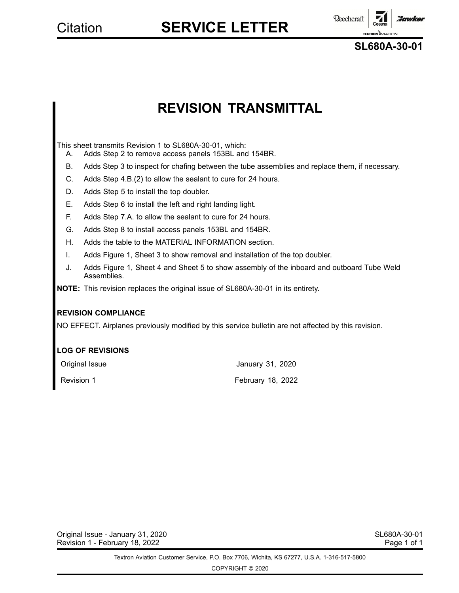**Reechcraft** *Florwice* **TEXTRON** AVIATI

**SL680A-30-01**

### **REVISION TRANSMITTAL**

This sheet transmits Revision 1 to SL680A-30-01, which:

- A. Adds Step 2 to remove access panels 153BL and 154BR.
- B. Adds Step 3 to inspect for chafing between the tube assemblies and replace them, if necessary.
- C. Adds Step 4.B.(2) to allow the sealant to cure for 24 hours.
- D. Adds Step 5 to install the top doubler.
- E. Adds Step 6 to install the left and right landing light.
- F. Adds Step 7.A. to allow the sealant to cure for 24 hours.
- G. Adds Step 8 to install access panels 153BL and 154BR.
- H. Adds the table to the MATERIAL INFORMATION section.
- I. Adds Figure 1, Sheet 3 to show removal and installation of the top doubler.
- J. Adds Figure 1, Sheet 4 and Sheet 5 to show assembly of the inboard and outboard Tube Weld Assemblies.
- **NOTE:** This revision replaces the original issue of SL680A-30-01 in its entirety.

### **REVISION COMPLIANCE**

NO EFFECT. Airplanes previously modified by this service bulletin are not affected by this revision.

### **LOG OF REVISIONS**

| Original Issue | January 31, 2020         |
|----------------|--------------------------|
| Revision 1     | <b>February 18, 2022</b> |

Original Issue - January 31, 2020 SL680A-30-01 SL680A-30-01 Revision 1 - February 18, 2022 **Page 1 of 1** and 2009 Page 1 of 1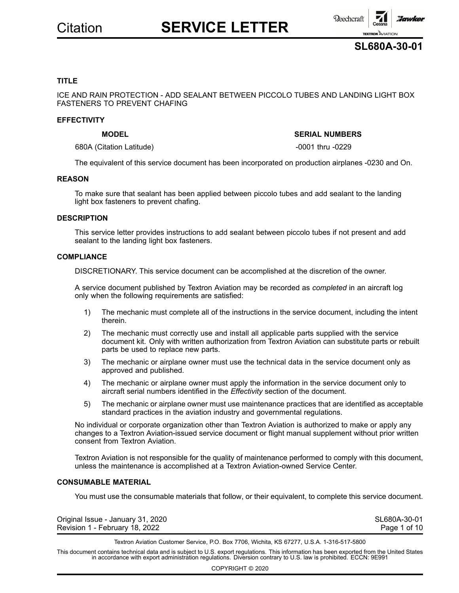



### **TITLE**

ICE AND RAIN PROTECTION - ADD SEALANT BETWEEN PICCOLO TUBES AND LANDING LIGHT BOX FASTENERS TO PREVENT CHAFING

#### **EFFECTIVITY**

### **MODEL SERIAL NUMBERS**

680A (Citation Latitude) -0001 thru -0229

The equivalent of this service document has been incorporated on production airplanes -0230 and On.

#### **REASON**

To make sure that sealant has been applied between piccolo tubes and add sealant to the landing light box fasteners to prevent chafing.

### **DESCRIPTION**

This service letter provides instructions to add sealant between piccolo tubes if not present and add sealant to the landing light box fasteners.

#### **COMPLIANCE**

DISCRETIONARY. This service document can be accomplished at the discretion of the owner.

A service document published by Textron Aviation may be recorded as *completed* in an aircraft log only when the following requirements are satisfied:

- 1) The mechanic must complete all of the instructions in the service document, including the intent therein.
- 2) The mechanic must correctly use and install all applicable parts supplied with the service document kit. Only with written authorization from Textron Aviation can substitute parts or rebuilt parts be used to replace new parts.
- 3) The mechanic or airplane owner must use the technical data in the service document only as approved and published.
- 4) The mechanic or airplane owner must apply the information in the service document only to aircraft serial numbers identified in the *Effectivity* section of the document.
- 5) The mechanic or airplane owner must use maintenance practices that are identified as acceptable standard practices in the aviation industry and governmental regulations.

No individual or corporate organization other than Textron Aviation is authorized to make or apply any changes to <sup>a</sup> Textron Aviation-issued service document or flight manual supplement without prior written consent from Textron Aviation.

Textron Aviation is not responsible for the quality of maintenance performed to comply with this document, unless the maintenance is accomplished at <sup>a</sup> Textron Aviation-owned Service Center.

### **CONSUMABLE MATERIAL**

You must use the consumable materials that follow, or their equivalent, to complete this service document.

| Original Issue - January 31, 2020 | SL680A-30-01 |
|-----------------------------------|--------------|
| Revision 1 - February 18, 2022    | Page 1 of 10 |

Textron Aviation Customer Service, P.O. Box 7706, Wichita, KS 67277, U.S.A. 1-316-517-5800

This document contains technical data and is subject to U.S. export regulations. This information has been exported from the United States<br>in accordance with export administration regulations. Diversion contrary to U.S. la

COPYRIGHT © 2020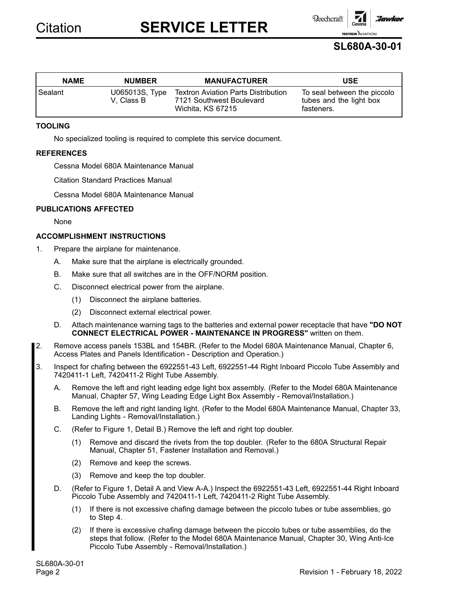**Reechcraft** 

### **SL680A-30-01**

**TEXTRON** AVIAT

:Jawke

| <b>NAME</b> | <b>NUMBER</b>                | <b>MANUFACTURER</b>                                                                         | <b>USE</b>                                                           |
|-------------|------------------------------|---------------------------------------------------------------------------------------------|----------------------------------------------------------------------|
| Sealant     | U065013S, Type<br>V. Class B | <b>Textron Aviation Parts Distribution</b><br>7121 Southwest Boulevard<br>Wichita, KS 67215 | To seal between the piccolo<br>tubes and the light box<br>fasteners. |

### **TOOLING**

No specialized tooling is required to complete this service document.

### **REFERENCES**

Cessna Model 680A Maintenance Manual

Citation Standard Practices Manual

Cessna Model 680A Maintenance Manual

### **PUBLICATIONS AFFECTED**

None

### **ACCOMPLISHMENT INSTRUCTIONS**

- 1. Prepare the airplane for maintenance.
	- A. Make sure that the airplane is electrically grounded.
	- B. Make sure that all switches are in the OFF/NORM position.
	- C. Disconnect electrical power from the airplane.
		- (1) Disconnect the airplane batteries.
		- (2) Disconnect external electrical power.
	- D. Attach maintenance warning tags to the batteries and external power receptacle that have **"DO NOT CONNECT ELECTRICAL POWER - MAINTENANCE IN PROGRESS"** written on them.
- 2. Remove access panels 153BL and 154BR. (Refer to the Model 680A Maintenance Manual, Chapter 6, Access Plates and Panels Identification - Description and Operation.)
- 3. Inspect for chafing between the 6922551-43 Left, 6922551-44 Right Inboard Piccolo Tube Assembly and 7420411-1 Left, 7420411-2 Right Tube Assembly.
	- A. Remove the left and right leading edge light box assembly. (Refer to the Model 680A Maintenance Manual, Chapter 57, Wing Leading Edge Light Box Assembly - Removal/Installation.)
	- B. Remove the left and right landing light. (Refer to the Model 680A Maintenance Manual, Chapter 33, Landing Lights - Removal/Installation.)
	- C. (Refer to Figure 1, Detail B.) Remove the left and right top doubler.
		- (1) Remove and discard the rivets from the top doubler. (Refer to the 680A Structural Repair Manual, Chapter 51, Fastener Installation and Removal.)
		- (2) Remove and keep the screws.
		- (3) Remove and keep the top doubler.
	- D. (Refer to Figure 1, Detail Aand View A-A.) Inspect the 6922551-43 Left, 6922551-44 Right Inboard Piccolo Tube Assembly and 7420411-1 Left, 7420411-2 Right Tube Assembly.
		- (1) If there is not excessive chafing damage between the piccolo tubes or tube assemblies, go to Step 4.
		- (2) If there is excessive chafing damage between the piccolo tubes or tube assemblies, do the steps that follow. (Refer to the Model 680A Maintenance Manual, Chapter 30, Wing Anti-Ice Piccolo Tube Assembly - Removal/Installation.)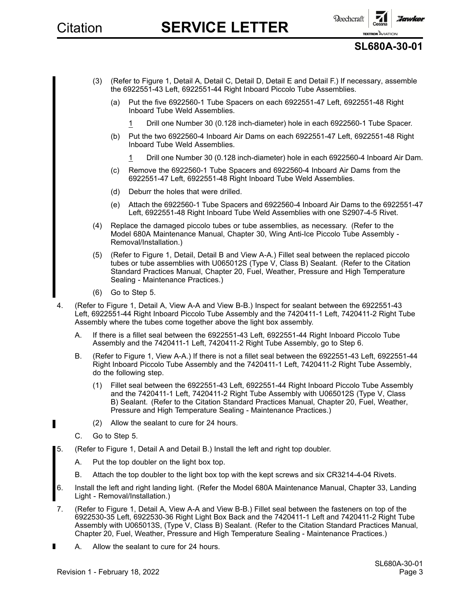

### **SL680A-30-01**

- (3) (Refer to Figure 1, Detail A, Detail C, Detail D, Detail E and Detail F.) If necessary, assemble the 6922551-43 Left, 6922551-44 Right Inboard Piccolo Tube Assemblies.
	- (a) Put the five 6922560-1 Tube Spacers on each 6922551-47 Left, 6922551-48 Right Inboard Tube Weld Assemblies.
		- 1 Drill one Number 30 (0.128 inch-diameter) hole in each 6922560-1 Tube Spacer.
	- (b) Put the two 6922560-4 Inboard Air Dams on each 6922551-47 Left, 6922551-48 Right Inboard Tube Weld Assemblies.
		- 1 Drill one Number 30 (0.128 inch-diameter) hole in each 6922560-4 Inboard Air Dam.
	- (c) Remove the 6922560-1 Tube Spacers and 6922560-4 Inboard Air Dams from the 6922551-47 Left, 6922551-48 Right Inboard Tube Weld Assemblies.
	- (d) Deburr the holes that were drilled.
	- (e) Attach the 6922560-1 Tube Spacers and 6922560-4 Inboard Air Dams to the 6922551-47 Left, 6922551-48 Right Inboard Tube Weld Assemblies with one S2907-4-5 Rivet.
- (4) Replace the damaged piccolo tubes or tube assemblies, as necessary. (Refer to the Model 680A Maintenance Manual, Chapter 30, Wing Anti-Ice Piccolo Tube Assembly - Removal/Installation.)
- (5) (Refer to Figure 1, Detail, Detail Band View A-A.) Fillet seal between the replaced piccolo tubes or tube assemblies with U065012S (Type V, Class B) Sealant. (Refer to the Citation Standard Practices Manual, Chapter 20, Fuel, Weather, Pressure and High Temperature Sealing - Maintenance Practices.)
- (6) Go to Step 5.
- 4. (Refer to Figure 1, Detail A, View A-A and View B-B.) Inspect for sealant between the 6922551-43 Left, 6922551-44 Right Inboard Piccolo Tube Assembly and the 7420411-1 Left, 7420411-2 Right Tube Assembly where the tubes come together above the light box assembly.
	- A. If there is <sup>a</sup> fillet seal between the 6922551-43 Left, 6922551-44 Right Inboard Piccolo Tube Assembly and the 7420411-1 Left, 7420411-2 Right Tube Assembly, go to Step 6.
	- B. (Refer to Figure 1, View A-A.) If there is not <sup>a</sup> fillet seal between the 6922551-43 Left, 6922551-44 Right Inboard Piccolo Tube Assembly and the 7420411-1 Left, 7420411-2 Right Tube Assembly, do the following step.
		- (1) Fillet seal between the 6922551-43 Left, 6922551-44 Right Inboard Piccolo Tube Assembly and the 7420411-1 Left, 7420411-2 Right Tube Assembly with U065012S (Type V, Class B) Sealant. (Refer to the Citation Standard Practices Manual, Chapter 20, Fuel, Weather, Pressure and High Temperature Sealing - Maintenance Practices.)
		- (2) Allow the sealant to cure for 24 hours.
	- C. Go to Step 5.
- 5. (Refer to Figure 1, Detail A and Detail B.) Install the left and right top doubler.
	- A. Put the top doubler on the light box top.
	- B. Attach the top doubler to the light box top with the kept screws and six CR3214-4-04 Rivets.
- 6. Install the left and right landing light. (Refer the Model 680A Maintenance Manual, Chapter 33, Landing Light - Removal/Installation.)
- 7. (Refer to Figure 1, Detail A, View A-A and View B-B.) Fillet seal between the fasteners on top of the 6922530-35 Left, 6922530-36 Right Light Box Back and the 7420411-1 Left and 7420411-2 Right Tube Assembly with U065013S, (Type V, Class B) Sealant. (Refer to the Citation Standard Practices Manual, Chapter 20, Fuel, Weather, Pressure and High Temperature Sealing - Maintenance Practices.)
- A. Allow the sealant to cure for 24 hours.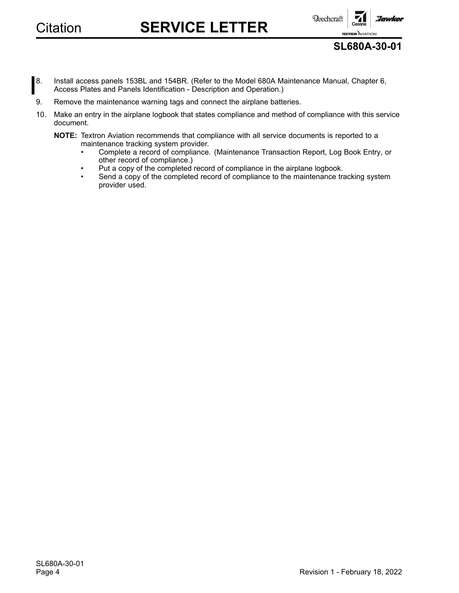•

•

Citation **SERVICE LETTER**



**SL680A-30-01**

- 8. Install access panels 153BL and 154BR. (Refer to the Model 680A Maintenance Manual, Chapter 6, Access Plates and Panels Identification - Description and Operation.)
- 9. Remove the maintenance warning tags and connect the airplane batteries.
- 10. Make an entry in the airplane logbook that states compliance and method of compliance with this service document.
	- **NOTE:** Textron Aviation recommends that compliance with all service documents is reported to <sup>a</sup> maintenance tracking system provider.
		- Complete <sup>a</sup> record of compliance. (Maintenance Transaction Report, Log Book Entry, or other record of compliance.)
		- Put <sup>a</sup> copy of the completed record of compliance in the airplane logbook.
		- • Send <sup>a</sup> copy of the completed record of compliance to the maintenance tracking system provider used.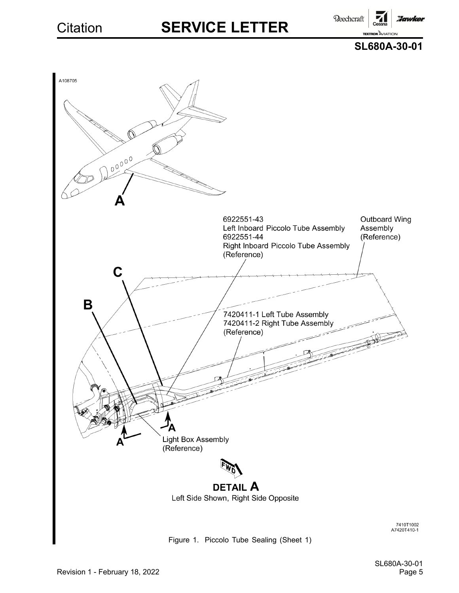**Reechcraft Hawker** 

**TEXTRON AVIATION** 





Figure 1. Piccolo Tube Sealing (Sheet 1)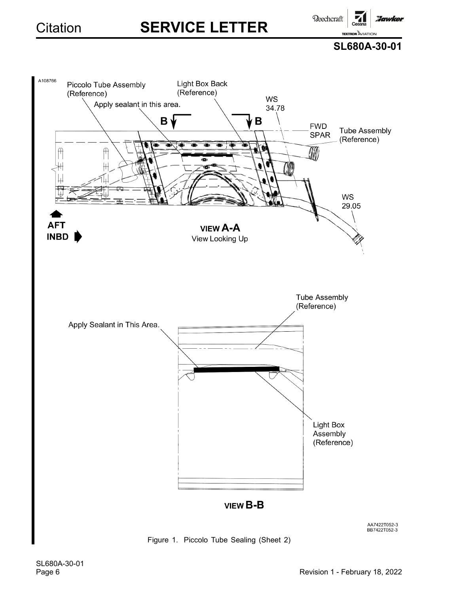**Reechcraft** 

**TEXTRON AVIATION SL680A-30-01**

**Hawker** 

71

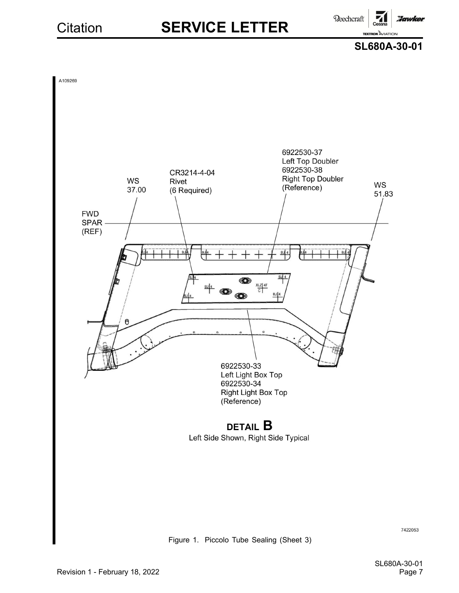**Reechcraft Hawker** 







7422053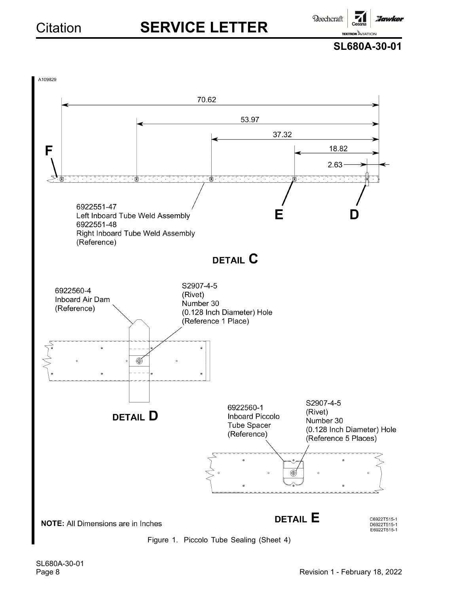Beechcraft

**Hawker** 

**SL680A-30-01**

**TEXTRON AVIATION** 



SL680A-30-01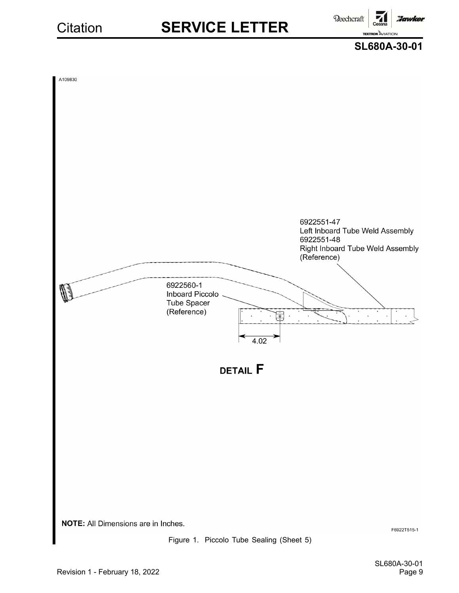**Beechcraft** :Iawker **TEXTRON AVIATION** 



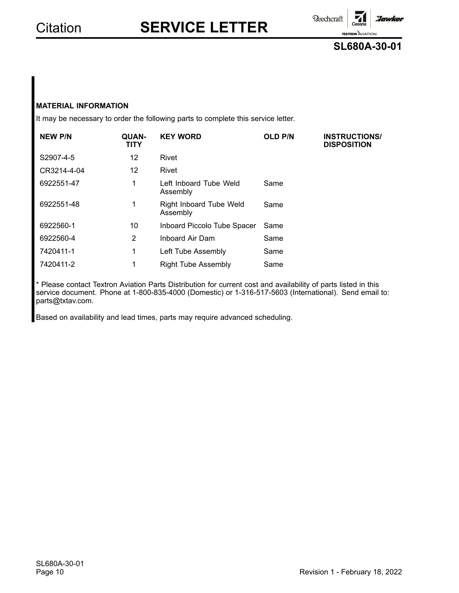**Reechcraft** 

**TEXTRON** AVIATION **SL680A-30-01**

:Jawker

### **MATERIAL INFORMATION**

It may be necessary to order the following parts to complete this service letter.

| <b>NEW P/N</b> | <b>QUAN-</b><br><b>TITY</b> | <b>KEY WORD</b>                     | <b>OLD P/N</b> | <b>INSTRUCTIONS/</b><br><b>DISPOSITION</b> |
|----------------|-----------------------------|-------------------------------------|----------------|--------------------------------------------|
| S2907-4-5      | 12                          | Rivet                               |                |                                            |
| CR3214-4-04    | 12                          | Rivet                               |                |                                            |
| 6922551-47     | 1                           | Left Inboard Tube Weld<br>Assembly  | Same           |                                            |
| 6922551-48     | 1                           | Right Inboard Tube Weld<br>Assembly | Same           |                                            |
| 6922560-1      | 10                          | Inboard Piccolo Tube Spacer         | Same           |                                            |
| 6922560-4      | $\overline{2}$              | Inboard Air Dam                     | Same           |                                            |
| 7420411-1      | 1                           | Left Tube Assembly                  | Same           |                                            |
| 7420411-2      | 1                           | <b>Right Tube Assembly</b>          | Same           |                                            |

\* Please contact Textron Aviation Parts Distribution for current cost and availability of parts listed in this service document. Phone at 1-800-835-4000 (Domestic) or 1-316-517-5603 (International). Send email to: parts@txtav.com.

Based on availability and lead times, parts may require advanced scheduling.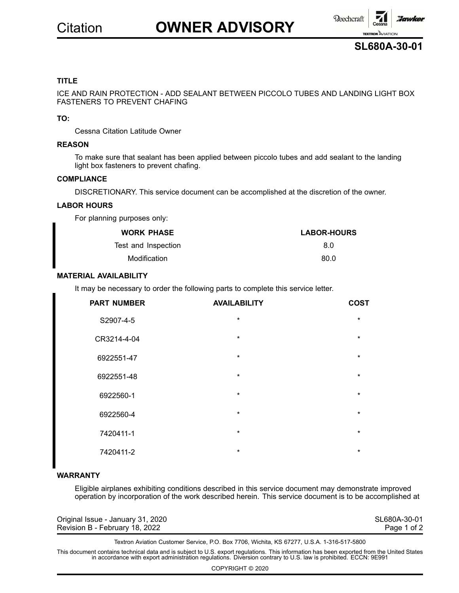# Citation **OWNER ADVISORY**





### **TITLE**

ICE AND RAIN PROTECTION - ADD SEALANT BETWEEN PICCOLO TUBES AND LANDING LIGHT BOX FASTENERS TO PREVENT CHAFING

### **TO:**

Cessna Citation Latitude Owner

#### **REASON**

To make sure that sealant has been applied between piccolo tubes and add sealant to the landing light box fasteners to prevent chafing.

#### **COMPLIANCE**

DISCRETIONARY. This service document can be accomplished at the discretion of the owner.

#### **LABOR HOURS**

For planning purposes only:

| <b>WORK PHASE</b>   | <b>LABOR-HOURS</b> |
|---------------------|--------------------|
| Test and Inspection | 8 O                |
| Modification        | 80.O               |

### **MATERIAL AVAILABILITY**

It may be necessary to order the following parts to complete this service letter.

| <b>PART NUMBER</b> | <b>AVAILABILITY</b> | <b>COST</b> |
|--------------------|---------------------|-------------|
| S2907-4-5          | $\star$             | $\star$     |
| CR3214-4-04        | $\star$             | $\star$     |
| 6922551-47         | $\star$             | $\star$     |
| 6922551-48         | $\star$             | $\star$     |
| 6922560-1          | $\star$             | $\star$     |
| 6922560-4          | $\star$             | $\star$     |
| 7420411-1          | $\star$             | $\star$     |
| 7420411-2          | $\star$             | $\star$     |

### **WARRANTY**

Eligible airplanes exhibiting conditions described in this service document may demonstrate improved operation by incorporation of the work described herein. This service document is to be accomplished at

| Original Issue - January 31, 2020 | SL680A-30-01 |
|-----------------------------------|--------------|
| Revision B - February 18, 2022    | Page 1 of 2  |

Textron Aviation Customer Service, P.O. Box 7706, Wichita, KS 67277, U.S.A. 1-316-517-5800

This document contains technical data and is subject to U.S. export regulations. This information has been exported from the United States<br>in accordance with export administration regulations. Diversion contrary to U.S. la

COPYRIGHT © 2020